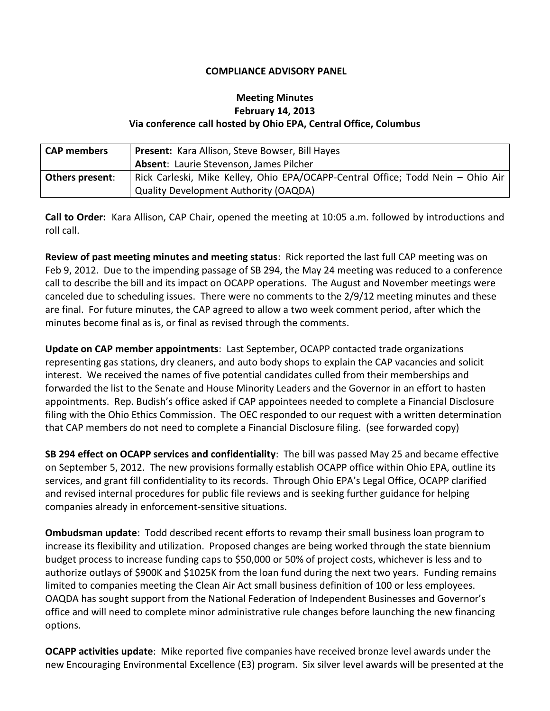## **COMPLIANCE ADVISORY PANEL**

## **Meeting Minutes February 14, 2013 Via conference call hosted by Ohio EPA, Central Office, Columbus**

| <b>CAP members</b>     | <b>Present:</b> Kara Allison, Steve Bowser, Bill Hayes                          |
|------------------------|---------------------------------------------------------------------------------|
|                        | Absent: Laurie Stevenson, James Pilcher                                         |
| <b>Others present:</b> | Rick Carleski, Mike Kelley, Ohio EPA/OCAPP-Central Office; Todd Nein - Ohio Air |
|                        | <b>Quality Development Authority (OAQDA)</b>                                    |

**Call to Order:** Kara Allison, CAP Chair, opened the meeting at 10:05 a.m. followed by introductions and roll call.

**Review of past meeting minutes and meeting status**: Rick reported the last full CAP meeting was on Feb 9, 2012. Due to the impending passage of SB 294, the May 24 meeting was reduced to a conference call to describe the bill and its impact on OCAPP operations. The August and November meetings were canceled due to scheduling issues. There were no comments to the 2/9/12 meeting minutes and these are final. For future minutes, the CAP agreed to allow a two week comment period, after which the minutes become final as is, or final as revised through the comments.

**Update on CAP member appointments**: Last September, OCAPP contacted trade organizations representing gas stations, dry cleaners, and auto body shops to explain the CAP vacancies and solicit interest. We received the names of five potential candidates culled from their memberships and forwarded the list to the Senate and House Minority Leaders and the Governor in an effort to hasten appointments. Rep. Budish's office asked if CAP appointees needed to complete a Financial Disclosure filing with the Ohio Ethics Commission. The OEC responded to our request with a written determination that CAP members do not need to complete a Financial Disclosure filing. (see forwarded copy)

**SB 294 effect on OCAPP services and confidentiality**: The bill was passed May 25 and became effective on September 5, 2012. The new provisions formally establish OCAPP office within Ohio EPA, outline its services, and grant fill confidentiality to its records. Through Ohio EPA's Legal Office, OCAPP clarified and revised internal procedures for public file reviews and is seeking further guidance for helping companies already in enforcement-sensitive situations.

**Ombudsman update**: Todd described recent efforts to revamp their small business loan program to increase its flexibility and utilization. Proposed changes are being worked through the state biennium budget process to increase funding caps to \$50,000 or 50% of project costs, whichever is less and to authorize outlays of \$900K and \$1025K from the loan fund during the next two years. Funding remains limited to companies meeting the Clean Air Act small business definition of 100 or less employees. OAQDA has sought support from the National Federation of Independent Businesses and Governor's office and will need to complete minor administrative rule changes before launching the new financing options.

**OCAPP activities update**: Mike reported five companies have received bronze level awards under the new Encouraging Environmental Excellence (E3) program. Six silver level awards will be presented at the